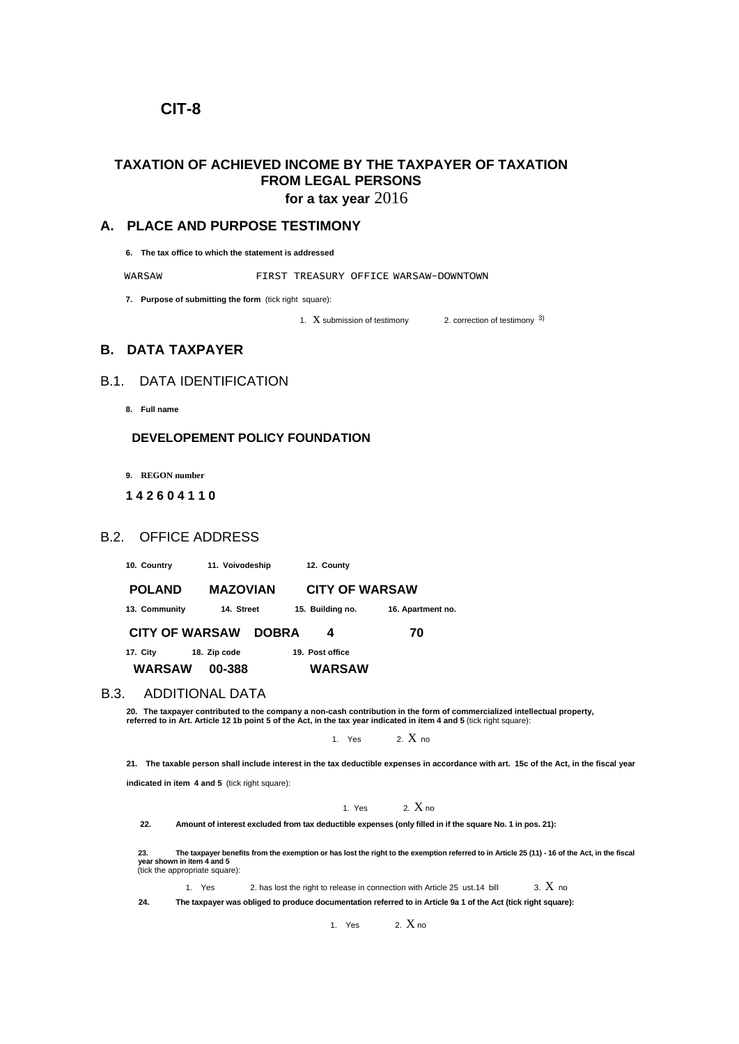## **CIT-8**

# **TAXATION OF ACHIEVED INCOME BY THE TAXPAYER OF TAXATION FROM LEGAL PERSONS**

**for a tax year** 2016

### **A. PLACE AND PURPOSE TESTIMONY**

**6. The tax office to which the statement is addressed**

WARSAW FIRST TREASURY OFFICE WARSAW-DOWNTOWN

**7. Purpose of submitting the form** (tick right square):

1.  $X$  submission of testimony 2. correction of testimony  $3$ )

## **B. DATA TAXPAYER**

## B.1. DATA IDENTIFICATION

**8. Full name**

### **DEVELOPEMENT POLICY FOUNDATION**

**9. REGON number**

### **1 4 2 6 0 4 1 1 0**

### B.2. OFFICE ADDRESS

**10. Country 11. Voivodeship 12. County**

 **POLAND MAZOVIAN CITY OF WARSAW 13. Community 14. Street 15. Building no. 16. Apartment no. CITY OF WARSAW DOBRA 4 70**

**17. City 18. Zip code 19. Post office WARSAW 00-388 WARSAW**

#### B.3. ADDITIONAL DATA

**20. The taxpayer contributed to the company a non-cash contribution in the form of commercialized intellectual property, referred to in Art. Article 12 1b point 5 of the Act, in the tax year indicated in item 4 and 5** (tick right square):

1. Yes  $2. X_{\text{no}}$ 

**21. The taxable person shall include interest in the tax deductible expenses in accordance with art. 15c of the Act, in the fiscal year** 

**indicated in item 4 and 5** (tick right square):

1. Yes  $2. X_{10}$ 

**22. Amount of interest excluded from tax deductible expenses (only filled in if the square No. 1 in pos. 21):**

23.<br>year shown in item 4 and 5<br>(tick the appropriate square):<br>(tick the appropriate square):

1. Yes 2. has lost the right to release in connection with Article 25 ust.14 bill  $\qquad$  3.  $X$  no

**24. The taxpayer was obliged to produce documentation referred to in Article 9a 1 of the Act (tick right square):**

1. Yes  $2. X_{\text{no}}$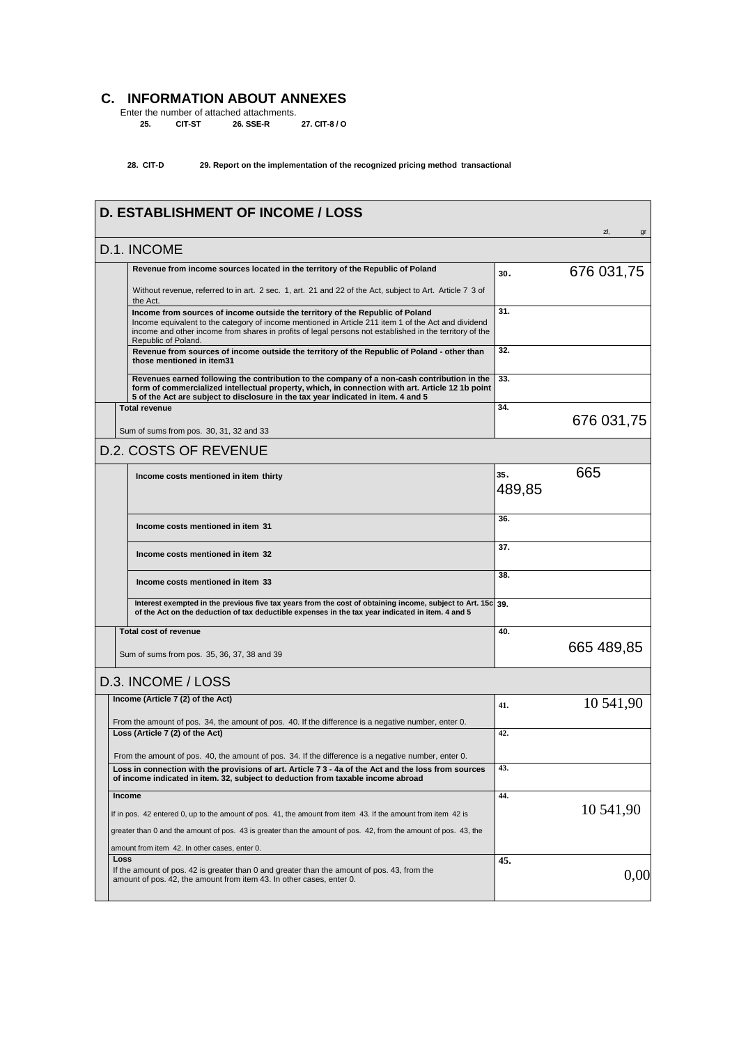# **C. INFORMATION ABOUT ANNEXES**

Enter the number of attached attachments. **25. CIT-ST 26. SSE-R 27. CIT-8 / O** 

### **28. CIT-D 29. Report on the implementation of the recognized pricing method transactional**

|               | <b>D. ESTABLISHMENT OF INCOME / LOSS</b>                                                                                                                                                                                                                                                                               |        | zł,<br>gr  |
|---------------|------------------------------------------------------------------------------------------------------------------------------------------------------------------------------------------------------------------------------------------------------------------------------------------------------------------------|--------|------------|
|               | D.1. INCOME                                                                                                                                                                                                                                                                                                            |        |            |
|               | Revenue from income sources located in the territory of the Republic of Poland                                                                                                                                                                                                                                         | 30.    | 676 031,75 |
|               | Without revenue, referred to in art. 2 sec. 1, art. 21 and 22 of the Act, subject to Art. Article 7 3 of<br>the Act.                                                                                                                                                                                                   |        |            |
|               | Income from sources of income outside the territory of the Republic of Poland<br>Income equivalent to the category of income mentioned in Article 211 item 1 of the Act and dividend<br>income and other income from shares in profits of legal persons not established in the territory of the<br>Republic of Poland. | 31.    |            |
|               | Revenue from sources of income outside the territory of the Republic of Poland - other than<br>those mentioned in item31                                                                                                                                                                                               | 32.    |            |
|               | Revenues earned following the contribution to the company of a non-cash contribution in the<br>form of commercialized intellectual property, which, in connection with art. Article 12 1b point<br>5 of the Act are subject to disclosure in the tax year indicated in item. 4 and 5                                   | 33.    |            |
|               | <b>Total revenue</b>                                                                                                                                                                                                                                                                                                   | 34.    |            |
|               | Sum of sums from pos. 30, 31, 32 and 33                                                                                                                                                                                                                                                                                |        | 676 031,75 |
|               | <b>D.2. COSTS OF REVENUE</b>                                                                                                                                                                                                                                                                                           |        |            |
|               | Income costs mentioned in item thirty                                                                                                                                                                                                                                                                                  | 35.    | 665        |
|               |                                                                                                                                                                                                                                                                                                                        | 489,85 |            |
|               | Income costs mentioned in item 31                                                                                                                                                                                                                                                                                      | 36.    |            |
|               | Income costs mentioned in item 32                                                                                                                                                                                                                                                                                      | 37.    |            |
|               | Income costs mentioned in item 33                                                                                                                                                                                                                                                                                      | 38.    |            |
|               | Interest exempted in the previous five tax years from the cost of obtaining income, subject to Art. 15c 39.<br>of the Act on the deduction of tax deductible expenses in the tax year indicated in item. 4 and 5                                                                                                       |        |            |
|               | <b>Total cost of revenue</b>                                                                                                                                                                                                                                                                                           | 40.    |            |
|               | Sum of sums from pos. 35, 36, 37, 38 and 39                                                                                                                                                                                                                                                                            |        | 665 489,85 |
|               | D.3. INCOME / LOSS                                                                                                                                                                                                                                                                                                     |        |            |
|               | Income (Article 7 (2) of the Act)                                                                                                                                                                                                                                                                                      | 41.    | 10 541,90  |
|               | From the amount of pos. 34, the amount of pos. 40. If the difference is a negative number, enter 0.                                                                                                                                                                                                                    |        |            |
|               | Loss (Article 7 (2) of the Act)                                                                                                                                                                                                                                                                                        | 42.    |            |
|               | From the amount of pos. 40, the amount of pos. 34. If the difference is a negative number, enter 0.                                                                                                                                                                                                                    |        |            |
|               | Loss in connection with the provisions of art. Article 7 3 - 4a of the Act and the loss from sources<br>of income indicated in item. 32, subject to deduction from taxable income abroad                                                                                                                               | 43.    |            |
| <b>Income</b> |                                                                                                                                                                                                                                                                                                                        | 44.    |            |
|               | If in pos. 42 entered 0, up to the amount of pos. 41, the amount from item 43. If the amount from item 42 is                                                                                                                                                                                                           |        | 10 541,90  |
|               | greater than 0 and the amount of pos. 43 is greater than the amount of pos. 42, from the amount of pos. 43, the                                                                                                                                                                                                        |        |            |
|               | amount from item 42. In other cases, enter 0.                                                                                                                                                                                                                                                                          |        |            |
| Loss          | If the amount of pos. 42 is greater than 0 and greater than the amount of pos. 43, from the<br>amount of pos. 42, the amount from item 43. In other cases, enter 0.                                                                                                                                                    | 45.    | 0,00       |
|               |                                                                                                                                                                                                                                                                                                                        |        |            |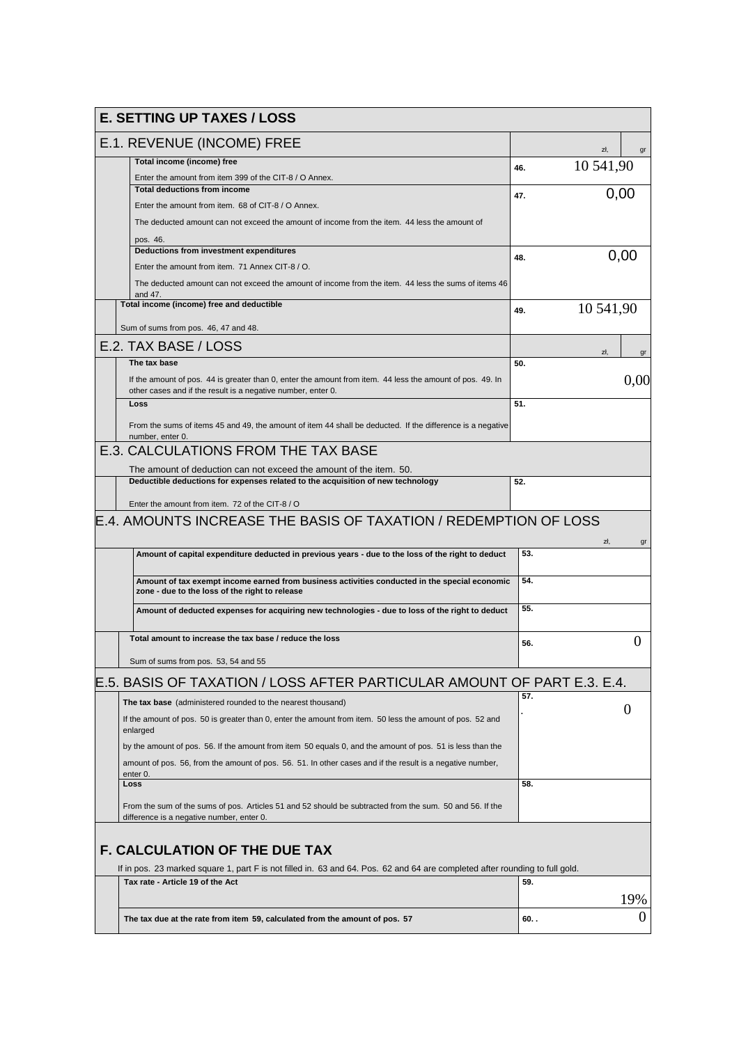| <b>E. SETTING UP TAXES / LOSS</b>                                                                                                                                         |         |           |  |  |  |  |  |  |
|---------------------------------------------------------------------------------------------------------------------------------------------------------------------------|---------|-----------|--|--|--|--|--|--|
| E.1. REVENUE (INCOME) FREE                                                                                                                                                |         | zł,<br>gr |  |  |  |  |  |  |
| Total income (income) free                                                                                                                                                |         | 10 541,90 |  |  |  |  |  |  |
| Enter the amount from item 399 of the CIT-8 / O Annex.                                                                                                                    | 46.     |           |  |  |  |  |  |  |
| <b>Total deductions from income</b>                                                                                                                                       | 47.     | 0,00      |  |  |  |  |  |  |
| Enter the amount from item. 68 of CIT-8 / O Annex.                                                                                                                        |         |           |  |  |  |  |  |  |
| The deducted amount can not exceed the amount of income from the item. 44 less the amount of                                                                              |         |           |  |  |  |  |  |  |
| pos. 46.                                                                                                                                                                  |         |           |  |  |  |  |  |  |
| Deductions from investment expenditures                                                                                                                                   | 48.     | 0,00      |  |  |  |  |  |  |
| Enter the amount from item. 71 Annex CIT-8 / O.                                                                                                                           |         |           |  |  |  |  |  |  |
| The deducted amount can not exceed the amount of income from the item. 44 less the sums of items 46<br>and 47.                                                            |         |           |  |  |  |  |  |  |
| Total income (income) free and deductible                                                                                                                                 | 49.     | 10 541,90 |  |  |  |  |  |  |
|                                                                                                                                                                           |         |           |  |  |  |  |  |  |
| Sum of sums from pos. 46, 47 and 48.                                                                                                                                      |         |           |  |  |  |  |  |  |
| E.2. TAX BASE / LOSS                                                                                                                                                      |         | zł,<br>gr |  |  |  |  |  |  |
| The tax base                                                                                                                                                              | 50.     |           |  |  |  |  |  |  |
| If the amount of pos. 44 is greater than 0, enter the amount from item. 44 less the amount of pos. 49. In<br>other cases and if the result is a negative number, enter 0. |         | 0,00      |  |  |  |  |  |  |
| Loss                                                                                                                                                                      | 51.     |           |  |  |  |  |  |  |
|                                                                                                                                                                           |         |           |  |  |  |  |  |  |
| From the sums of items 45 and 49, the amount of item 44 shall be deducted. If the difference is a negative<br>number, enter 0.                                            |         |           |  |  |  |  |  |  |
| E.3. CALCULATIONS FROM THE TAX BASE                                                                                                                                       |         |           |  |  |  |  |  |  |
|                                                                                                                                                                           |         |           |  |  |  |  |  |  |
| The amount of deduction can not exceed the amount of the item. 50.                                                                                                        | 52.     |           |  |  |  |  |  |  |
| Deductible deductions for expenses related to the acquisition of new technology                                                                                           |         |           |  |  |  |  |  |  |
| Enter the amount from item. 72 of the CIT-8 / O                                                                                                                           |         |           |  |  |  |  |  |  |
| E.4. AMOUNTS INCREASE THE BASIS OF TAXATION / REDEMPTION OF LOSS                                                                                                          |         |           |  |  |  |  |  |  |
|                                                                                                                                                                           |         |           |  |  |  |  |  |  |
| Amount of capital expenditure deducted in previous years - due to the loss of the right to deduct                                                                         | 53.     | zł.<br>gr |  |  |  |  |  |  |
|                                                                                                                                                                           |         |           |  |  |  |  |  |  |
| Amount of tax exempt income earned from business activities conducted in the special economic<br>zone - due to the loss of the right to release                           | 54.     |           |  |  |  |  |  |  |
|                                                                                                                                                                           | 55.     |           |  |  |  |  |  |  |
| Amount of deducted expenses for acquiring new technologies - due to loss of the right to deduct                                                                           |         |           |  |  |  |  |  |  |
| Total amount to increase the tax base / reduce the loss                                                                                                                   | 56.     | $\theta$  |  |  |  |  |  |  |
| Sum of sums from pos. 53, 54 and 55                                                                                                                                       |         |           |  |  |  |  |  |  |
|                                                                                                                                                                           |         |           |  |  |  |  |  |  |
| E.5. BASIS OF TAXATION / LOSS AFTER PARTICULAR AMOUNT OF PART E.3. E.4.                                                                                                   |         |           |  |  |  |  |  |  |
| The tax base (administered rounded to the nearest thousand)                                                                                                               | 57.     |           |  |  |  |  |  |  |
| If the amount of pos. 50 is greater than 0, enter the amount from item. 50 less the amount of pos. 52 and<br>enlarged                                                     |         | 0         |  |  |  |  |  |  |
| by the amount of pos. 56. If the amount from item 50 equals 0, and the amount of pos. 51 is less than the                                                                 |         |           |  |  |  |  |  |  |
|                                                                                                                                                                           |         |           |  |  |  |  |  |  |
| amount of pos. 56, from the amount of pos. 56. 51. In other cases and if the result is a negative number,<br>enter 0.                                                     |         |           |  |  |  |  |  |  |
| Loss                                                                                                                                                                      | 58.     |           |  |  |  |  |  |  |
|                                                                                                                                                                           |         |           |  |  |  |  |  |  |
| From the sum of the sums of pos. Articles 51 and 52 should be subtracted from the sum. 50 and 56. If the<br>difference is a negative number, enter 0.                     |         |           |  |  |  |  |  |  |
|                                                                                                                                                                           |         |           |  |  |  |  |  |  |
| <b>F. CALCULATION OF THE DUE TAX</b>                                                                                                                                      |         |           |  |  |  |  |  |  |
| If in pos. 23 marked square 1, part F is not filled in. 63 and 64. Pos. 62 and 64 are completed after rounding to full gold.                                              |         |           |  |  |  |  |  |  |
| Tax rate - Article 19 of the Act                                                                                                                                          | 59.     |           |  |  |  |  |  |  |
|                                                                                                                                                                           |         |           |  |  |  |  |  |  |
|                                                                                                                                                                           |         | 19%       |  |  |  |  |  |  |
| The tax due at the rate from item 59, calculated from the amount of pos. 57                                                                                               | $60.$ . | 0         |  |  |  |  |  |  |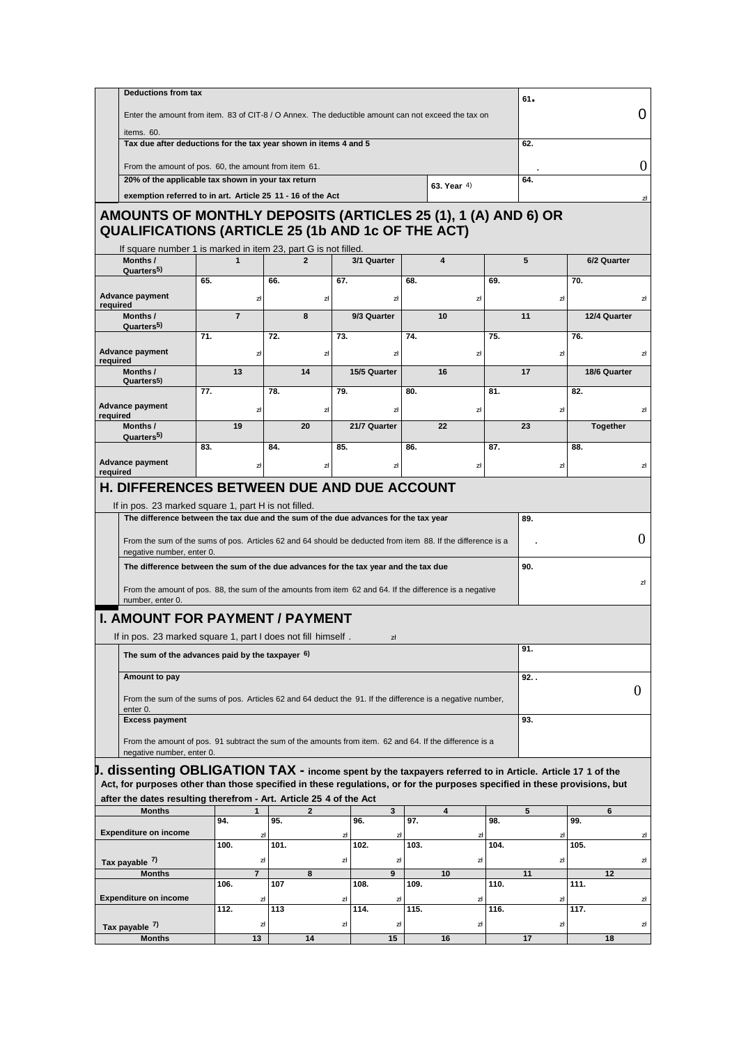|                                                                                                                                                                                                                                                                                                     | Deductions from tax                                                                                |                      |                |                   |                      |                         |            |     | $61 -$           |  |
|-----------------------------------------------------------------------------------------------------------------------------------------------------------------------------------------------------------------------------------------------------------------------------------------------------|----------------------------------------------------------------------------------------------------|----------------------|----------------|-------------------|----------------------|-------------------------|------------|-----|------------------|--|
|                                                                                                                                                                                                                                                                                                     | Enter the amount from item. 83 of CIT-8 / O Annex. The deductible amount can not exceed the tax on |                      |                |                   |                      |                         |            |     |                  |  |
| items. 60.                                                                                                                                                                                                                                                                                          |                                                                                                    |                      |                |                   |                      |                         |            |     |                  |  |
|                                                                                                                                                                                                                                                                                                     | Tax due after deductions for the tax year shown in items 4 and 5                                   |                      |                |                   |                      |                         |            | 62. |                  |  |
|                                                                                                                                                                                                                                                                                                     | From the amount of pos. 60, the amount from item 61.                                               |                      |                |                   |                      |                         |            |     |                  |  |
| 20% of the applicable tax shown in your tax return                                                                                                                                                                                                                                                  |                                                                                                    |                      |                |                   |                      | 63. Year 4)             |            | 64. |                  |  |
| exemption referred to in art. Article 25 11 - 16 of the Act                                                                                                                                                                                                                                         |                                                                                                    |                      |                |                   |                      |                         |            |     |                  |  |
| AMOUNTS OF MONTHLY DEPOSITS (ARTICLES 25 (1), 1 (A) AND 6) OR<br><b>QUALIFICATIONS (ARTICLE 25 (1b AND 1c OF THE ACT)</b>                                                                                                                                                                           |                                                                                                    |                      |                |                   |                      |                         |            |     |                  |  |
| If square number 1 is marked in item 23, part G is not filled.                                                                                                                                                                                                                                      |                                                                                                    |                      |                |                   |                      |                         |            |     |                  |  |
| Months /<br>Quarters <sup>5)</sup>                                                                                                                                                                                                                                                                  | $\mathbf{1}$                                                                                       |                      | $\overline{2}$ | 3/1 Quarter       |                      | $\overline{\mathbf{4}}$ |            | 5   | 6/2 Quarter      |  |
| <b>Advance payment</b>                                                                                                                                                                                                                                                                              | 65.                                                                                                | 66.<br>zł            | zł             | 67.               | 68.<br>zł            |                         | 69.<br>zł  |     | 70.<br>zł        |  |
| required<br>Months /<br>Quarters <sup>5)</sup>                                                                                                                                                                                                                                                      | $\overline{7}$                                                                                     |                      | 8              | 9/3 Quarter       |                      | 10                      |            | 11  | 12/4 Quarter     |  |
|                                                                                                                                                                                                                                                                                                     | 71.                                                                                                | $\overline{72}$ .    |                | $\overline{73}$ . | 74.                  |                         | 75.        |     | 76.              |  |
| <b>Advance payment</b><br>required                                                                                                                                                                                                                                                                  |                                                                                                    | zł                   | zł             |                   | zł                   |                         | zł         |     | zł               |  |
| Months /                                                                                                                                                                                                                                                                                            | 13                                                                                                 |                      | 14             | 15/5 Quarter      |                      | 16                      |            | 17  | 18/6 Quarter     |  |
| Quarters <sup>5</sup> )                                                                                                                                                                                                                                                                             | 77.                                                                                                | 78.                  |                | 79.               | 80.                  |                         | 81.        |     | 82.              |  |
| <b>Advance payment</b>                                                                                                                                                                                                                                                                              |                                                                                                    | zł                   | zł             |                   | zł                   |                         | zł         |     | zł               |  |
| required<br>Months /<br>Quarters <sup>5)</sup>                                                                                                                                                                                                                                                      | 19                                                                                                 |                      | 20             | 21/7 Quarter      |                      | 22                      |            | 23  | Together         |  |
|                                                                                                                                                                                                                                                                                                     | 83.                                                                                                | 84.                  |                | 85.               | 86.                  |                         | 87.        |     | 88.              |  |
| <b>Advance payment</b><br>required                                                                                                                                                                                                                                                                  |                                                                                                    | zł                   | zł             |                   | zł                   |                         | zł         |     | zł               |  |
| negative number, enter 0.                                                                                                                                                                                                                                                                           |                                                                                                    |                      |                |                   |                      |                         |            | 90. |                  |  |
| The difference between the sum of the due advances for the tax year and the tax due<br>From the amount of pos. 88, the sum of the amounts from item 62 and 64. If the difference is a negative<br>number, enter 0.                                                                                  |                                                                                                    |                      |                |                   |                      |                         |            |     |                  |  |
| <b>I. AMOUNT FOR PAYMENT / PAYMENT</b>                                                                                                                                                                                                                                                              |                                                                                                    |                      |                |                   |                      |                         |            |     |                  |  |
| If in pos. 23 marked square 1, part I does not fill himself.                                                                                                                                                                                                                                        |                                                                                                    |                      |                |                   |                      |                         |            |     |                  |  |
|                                                                                                                                                                                                                                                                                                     | The sum of the advances paid by the taxpayer $6$ )                                                 |                      |                |                   |                      |                         |            |     |                  |  |
|                                                                                                                                                                                                                                                                                                     |                                                                                                    |                      |                |                   | zł                   |                         |            | 91. |                  |  |
| Amount to pay                                                                                                                                                                                                                                                                                       |                                                                                                    |                      |                |                   |                      |                         |            | 92. |                  |  |
| From the sum of the sums of pos. Articles 62 and 64 deduct the 91. If the difference is a negative number,                                                                                                                                                                                          |                                                                                                    |                      |                |                   |                      |                         |            |     | $\boldsymbol{0}$ |  |
| enter 0.                                                                                                                                                                                                                                                                                            |                                                                                                    |                      |                |                   |                      |                         |            |     |                  |  |
| <b>Excess payment</b><br>From the amount of pos. 91 subtract the sum of the amounts from item. 62 and 64. If the difference is a                                                                                                                                                                    |                                                                                                    |                      |                |                   |                      |                         |            | 93. |                  |  |
| negative number, enter 0.                                                                                                                                                                                                                                                                           |                                                                                                    |                      |                |                   |                      |                         |            |     |                  |  |
| $J.$ dissenting OBLIGATION TAX - income spent by the taxpayers referred to in Article. Article 17 1 of the                                                                                                                                                                                          |                                                                                                    |                      |                |                   |                      |                         |            |     |                  |  |
|                                                                                                                                                                                                                                                                                                     |                                                                                                    |                      |                |                   |                      |                         |            |     |                  |  |
| <b>Months</b>                                                                                                                                                                                                                                                                                       |                                                                                                    | $\mathbf 1$          | 2              |                   | 3                    | 4                       |            | 5   | 6                |  |
|                                                                                                                                                                                                                                                                                                     | 94.                                                                                                | 95.                  |                | 96.               | 97.                  |                         | 98.        |     | 99.              |  |
|                                                                                                                                                                                                                                                                                                     |                                                                                                    | zł                   |                | zł                | zł                   |                         | zł         |     | zł               |  |
|                                                                                                                                                                                                                                                                                                     | 100.                                                                                               | 101.                 |                | 102.              | 103.                 |                         | 104.       |     | 105.             |  |
| <b>Months</b>                                                                                                                                                                                                                                                                                       |                                                                                                    | zł<br>$\overline{7}$ | 8              | zł                | zł<br>$\overline{9}$ | 10                      | zł         | 11  | zł<br>12         |  |
|                                                                                                                                                                                                                                                                                                     | 106.                                                                                               | 107                  |                | 108.              | 109.                 |                         | 110.       |     | 111.             |  |
|                                                                                                                                                                                                                                                                                                     |                                                                                                    | 과                    |                | zł                | zł                   |                         | zł         | zł  |                  |  |
| Act, for purposes other than those specified in these regulations, or for the purposes specified in these provisions, but<br>after the dates resulting therefrom - Art. Article 25 4 of the Act<br><b>Expenditure on income</b><br>Tax payable 7)<br><b>Expenditure on income</b><br>Tax payable 7) | 112.                                                                                               | 113<br>zł            |                | 114.<br>zł        | 115.<br>zł           |                         | 116.<br>zł |     | 117.<br>zł       |  |